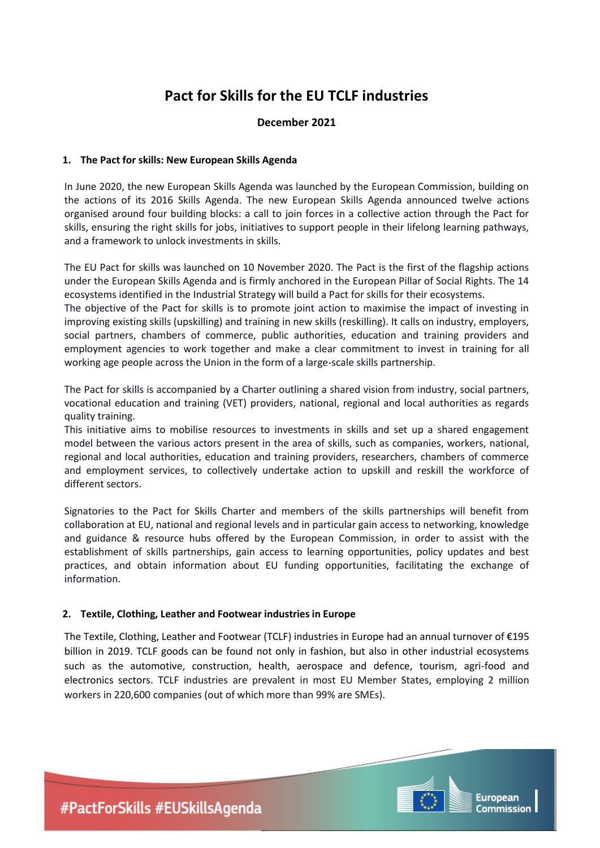# **Pact for Skills for the EU TCLF industries**

# **December 2021**

### **1. The Pact for skills: New European Skills Agenda**

In June 2020, the new European Skills Agenda was launched by the European Commission, building on the actions of its 2016 Skills Agenda. The new European Skills Agenda announced twelve actions organised around four building blocks: a call to join forces in a collective action through the Pact for skills, ensuring the right skills for jobs, initiatives to support people in their lifelong learning pathways, and a framework to unlock investments in skills.

The EU Pact for skills was launched on 10 November 2020. The Pact is the first of the flagship actions under the European Skills Agenda and is firmly anchored in the European Pillar of Social Rights. The 14 ecosystems identified in the Industrial Strategy will build a Pact for skills for their ecosystems.

The objective of the [Pact for skills](https://ec.europa.eu/social/main.jsp?catId=1517&langId=en) is to promote joint action to maximise the impact of investing in improving existing skills (upskilling) and training in new skills (reskilling). It calls on industry, employers, social partners, chambers of commerce, public authorities, education and training providers and employment agencies to work together and make a clear commitment to invest in training for all working age people across the Union in the form of a large-scale skills partnership.

The Pact for skills is accompanied by [a Charter](https://ec.europa.eu/social/BlobServlet?docId=23158&langId=en) outlining a shared vision from industry, social partners, vocational education and training (VET) providers, national, regional and local authorities as regards quality training.

This initiative aims to mobilise resources to investments in skills and set up a shared engagement model between the various actors present in the area of skills, such as companies, workers, national, regional and local authorities, education and training providers, researchers, chambers of commerce and employment services, to collectively undertake action to upskill and reskill the workforce of different sectors.

Signatories to the Pact for Skills Charter and members of the skills partnerships will benefit from collaboration at EU, national and regional levels and in particular gain access to networking, knowledge and guidance & resource hubs offered by the European Commission, in order to assist with the establishment of skills partnerships, gain access to learning opportunities, policy updates and best practices, and obtain information about EU funding opportunities, facilitating the exchange of information.

#### **2. Textile, Clothing, Leather and Footwear industries in Europe**

The Textile, Clothing, Leather and Footwear (TCLF) industries in Europe had an annual turnover of €195 billion in 2019. TCLF goods can be found not only in fashion, but also in other industrial ecosystems such as the automotive, construction, health, aerospace and defence, tourism, agri-food and electronics sectors. TCLF industries are prevalent in most EU Member States, employing 2 million workers in 220,600 companies (out of which more than 99% are SMEs).



European Commission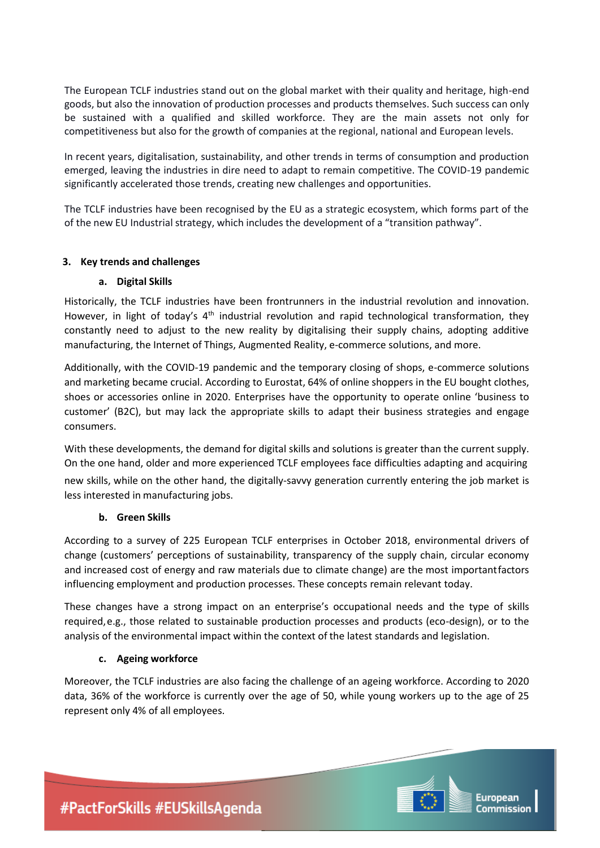The European TCLF industries stand out on the global market with their quality and heritage, high-end goods, but also the innovation of production processes and products themselves. Such success can only be sustained with a qualified and skilled workforce. They are the main assets not only for competitiveness but also for the growth of companies at the regional, national and European levels.

In recent years, digitalisation, sustainability, and other trends in terms of consumption and production emerged, leaving the industries in dire need to adapt to remain competitive. The COVID-19 pandemic significantly accelerated those trends, creating new challenges and opportunities.

The TCLF industries have been recognised by the EU as a strategic ecosystem, which forms part of the of the new EU Industrial strategy, which includes the development of a "transition pathway".

# **3. Key trends and challenges**

# **a. Digital Skills**

Historically, the TCLF industries have been frontrunners in the industrial revolution and innovation. However, in light of today's 4<sup>th</sup> industrial revolution and rapid technological transformation, they constantly need to adjust to the new reality by digitalising their supply chains, adopting additive manufacturing, the Internet of Things, Augmented Reality, e-commerce solutions, and more.

Additionally, with the COVID-19 pandemic and the temporary closing of shops, e-commerce solutions and marketing became crucial. According to Eurostat, 64% of online shoppers in the EU bought clothes, shoes or accessories online in 2020. Enterprises have the opportunity to operate online 'business to customer' (B2C), but may lack the appropriate skills to adapt their business strategies and engage consumers.

With these developments, the demand for digital skills and solutions is greater than the current supply. On the one hand, older and more experienced TCLF employees face difficulties adapting and acquiring new skills, while on the other hand, the digitally-savvy generation currently entering the job market is less interested in manufacturing jobs.

# **b. Green Skills**

According to a survey of 225 European TCLF enterprises in October 2018, environmental drivers of change (customers' perceptions of sustainability, transparency of the supply chain, circular economy and increased cost of energy and raw materials due to climate change) are the most importantfactors influencing employment and production processes. These concepts remain relevant today.

These changes have a strong impact on an enterprise's occupational needs and the type of skills required,e.g., those related to sustainable production processes and products (eco-design), or to the analysis of the environmental impact within the context of the latest standards and legislation.

# **c. Ageing workforce**

Moreover, the TCLF industries are also facing the challenge of an ageing workforce. According to 2020 data, 36% of the workforce is currently over the age of 50, while young workers up to the age of 25 represent only 4% of all employees.



European Commission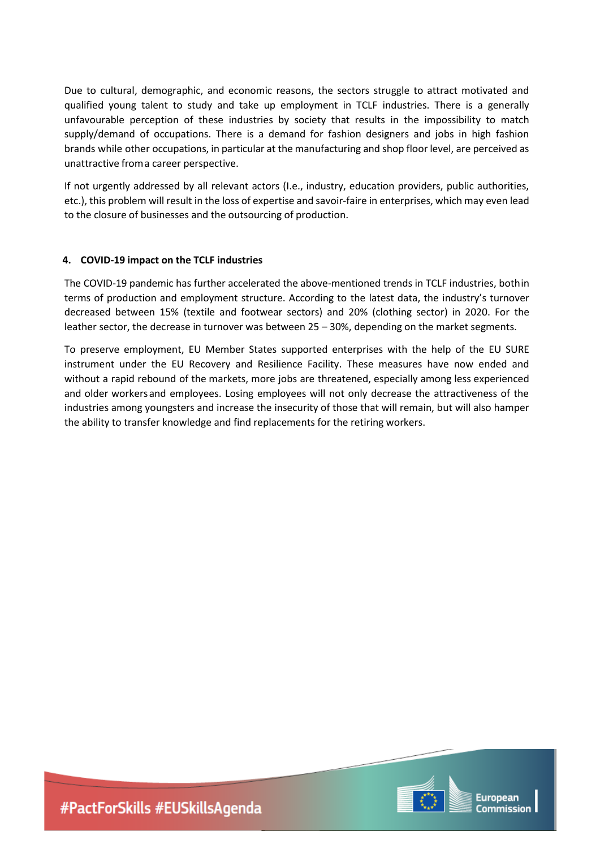Due to cultural, demographic, and economic reasons, the sectors struggle to attract motivated and qualified young talent to study and take up employment in TCLF industries. There is a generally unfavourable perception of these industries by society that results in the impossibility to match supply/demand of occupations. There is a demand for fashion designers and jobs in high fashion brands while other occupations, in particular at the manufacturing and shop floor level, are perceived as unattractive from a career perspective.

If not urgently addressed by all relevant actors (I.e., industry, education providers, public authorities, etc.), this problem will result in the loss of expertise and savoir-faire in enterprises, which may even lead to the closure of businesses and the outsourcing of production.

### **4. COVID-19 impact on the TCLF industries**

The COVID-19 pandemic has further accelerated the above-mentioned trends in TCLF industries, bothin terms of production and employment structure. According to the latest data, the industry's turnover decreased between 15% (textile and footwear sectors) and 20% (clothing sector) in 2020. For the leather sector, the decrease in turnover was between 25 – 30%, depending on the market segments.

To preserve employment, EU Member States supported enterprises with the help of the EU SURE instrument under the EU Recovery and Resilience Facility. These measures have now ended and without a rapid rebound of the markets, more jobs are threatened, especially among less experienced and older workersand employees. Losing employees will not only decrease the attractiveness of the industries among youngsters and increase the insecurity of those that will remain, but will also hamper the ability to transfer knowledge and find replacements for the retiring workers.

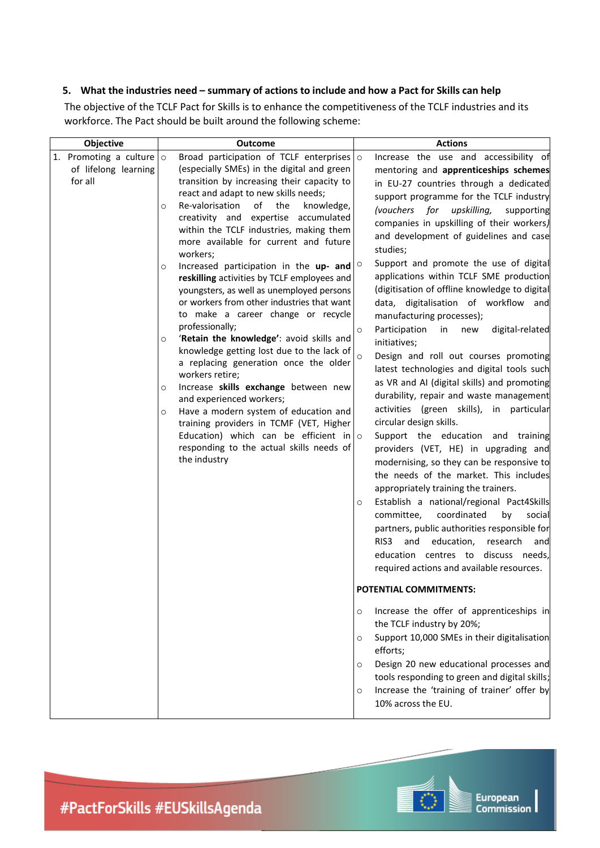# 5. What the industries need - summary of actions to include and how a Pact for Skills can help

The objective of the TCLF Pact for Skills is to enhance the competitiveness of the TCLF industries and its workforce. The Pact should be built around the following scheme:

| Objective                                                         | <b>Outcome</b>                                                                                                                                                                                                                                                                                                                                                                                                                                                                                                                                                                                                                                                                                 | <b>Actions</b>                                                                                                                                                                                                                                                                                                                                                                                                                                                                                                                                                                                                                                                                                                                                                                                                                                                                                                                                                                                                                                                                                                                                                                                                                                                                             |
|-------------------------------------------------------------------|------------------------------------------------------------------------------------------------------------------------------------------------------------------------------------------------------------------------------------------------------------------------------------------------------------------------------------------------------------------------------------------------------------------------------------------------------------------------------------------------------------------------------------------------------------------------------------------------------------------------------------------------------------------------------------------------|--------------------------------------------------------------------------------------------------------------------------------------------------------------------------------------------------------------------------------------------------------------------------------------------------------------------------------------------------------------------------------------------------------------------------------------------------------------------------------------------------------------------------------------------------------------------------------------------------------------------------------------------------------------------------------------------------------------------------------------------------------------------------------------------------------------------------------------------------------------------------------------------------------------------------------------------------------------------------------------------------------------------------------------------------------------------------------------------------------------------------------------------------------------------------------------------------------------------------------------------------------------------------------------------|
| 1. Promoting a culture $\circ$<br>of lifelong learning<br>for all | Broad participation of TCLF enterprises $\circ$<br>(especially SMEs) in the digital and green<br>transition by increasing their capacity to<br>react and adapt to new skills needs;<br>Re-valorisation<br>of<br>the<br>knowledge,<br>O<br>creativity and expertise accumulated<br>within the TCLF industries, making them<br>more available for current and future<br>workers;                                                                                                                                                                                                                                                                                                                 | Increase the use and accessibility of<br>mentoring and apprenticeships schemes<br>in EU-27 countries through a dedicated<br>support programme for the TCLF industry<br>(vouchers for<br>upskilling,<br>supporting<br>companies in upskilling of their workers)<br>and development of guidelines and case<br>studies;                                                                                                                                                                                                                                                                                                                                                                                                                                                                                                                                                                                                                                                                                                                                                                                                                                                                                                                                                                       |
|                                                                   | Increased participation in the up- and $\circ$<br>O<br>reskilling activities by TCLF employees and<br>youngsters, as well as unemployed persons<br>or workers from other industries that want<br>to make a career change or recycle<br>professionally;<br>'Retain the knowledge': avoid skills and<br>O<br>knowledge getting lost due to the lack of<br>a replacing generation once the older<br>workers retire;<br>Increase skills exchange between new<br>O<br>and experienced workers;<br>Have a modern system of education and<br>O<br>training providers in TCMF (VET, Higher<br>Education) which can be efficient in $\circ$<br>responding to the actual skills needs of<br>the industry | Support and promote the use of digital<br>applications within TCLF SME production<br>(digitisation of offline knowledge to digital<br>data, digitalisation of workflow and<br>manufacturing processes);<br>Participation<br>in<br>digital-related<br>new<br>$\circ$<br>initiatives;<br>$\circ$<br>Design and roll out courses promoting<br>latest technologies and digital tools such<br>as VR and AI (digital skills) and promoting<br>durability, repair and waste management<br>activities (green skills), in particular<br>circular design skills.<br>Support the education and training<br>providers (VET, HE) in upgrading and<br>modernising, so they can be responsive to<br>the needs of the market. This includes<br>appropriately training the trainers.<br>Establish a national/regional Pact4Skills<br>O<br>coordinated<br>committee,<br>by<br>social<br>partners, public authorities responsible for<br>education,<br>RIS <sub>3</sub><br>and<br>research<br>and<br>education centres to discuss needs,<br>required actions and available resources.<br>POTENTIAL COMMITMENTS:<br>Increase the offer of apprenticeships in<br>O<br>the TCLF industry by 20%;<br>Support 10,000 SMEs in their digitalisation<br>O<br>efforts;<br>Design 20 new educational processes and<br>O |
|                                                                   |                                                                                                                                                                                                                                                                                                                                                                                                                                                                                                                                                                                                                                                                                                | tools responding to green and digital skills;<br>Increase the 'training of trainer' offer by<br>O<br>10% across the EU.                                                                                                                                                                                                                                                                                                                                                                                                                                                                                                                                                                                                                                                                                                                                                                                                                                                                                                                                                                                                                                                                                                                                                                    |

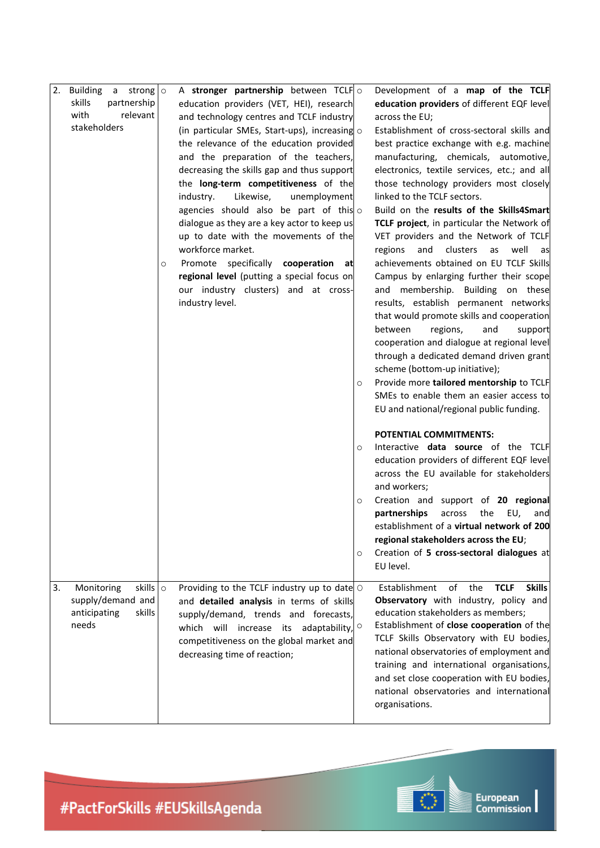| 2. | <b>Building a strong</b> $\circ$<br>skills<br>partnership<br>with<br>relevant<br>stakeholders | O | A stronger partnership between TCLF $\circ$<br>education providers (VET, HEI), research<br>and technology centres and TCLF industry<br>(in particular SMEs, Start-ups), increasing $\circ$<br>the relevance of the education provided<br>and the preparation of the teachers,<br>decreasing the skills gap and thus support<br>the long-term competitiveness of the<br>industry.<br>Likewise,<br>unemployment<br>agencies should also be part of this $\circ$<br>dialogue as they are a key actor to keep us<br>up to date with the movements of the<br>workforce market.<br>Promote specifically cooperation<br>at<br>regional level (putting a special focus on<br>our industry clusters) and at cross-<br>industry level. | O                       | Development of a map of the TCLF<br>education providers of different EQF level<br>across the EU;<br>Establishment of cross-sectoral skills and<br>best practice exchange with e.g. machine<br>manufacturing, chemicals, automotive,<br>electronics, textile services, etc.; and all<br>those technology providers most closely<br>linked to the TCLF sectors.<br>Build on the results of the Skills4Smart<br>TCLF project, in particular the Network of<br>VET providers and the Network of TCLF<br>and<br>clusters<br>well<br>regions<br>as<br>as<br>achievements obtained on EU TCLF Skills<br>Campus by enlarging further their scope<br>and membership. Building on these<br>results, establish permanent networks<br>that would promote skills and cooperation<br>between<br>regions,<br>and<br>support<br>cooperation and dialogue at regional level<br>through a dedicated demand driven grant<br>scheme (bottom-up initiative);<br>Provide more tailored mentorship to TCLF<br>SMEs to enable them an easier access to<br>EU and national/regional public funding. |
|----|-----------------------------------------------------------------------------------------------|---|------------------------------------------------------------------------------------------------------------------------------------------------------------------------------------------------------------------------------------------------------------------------------------------------------------------------------------------------------------------------------------------------------------------------------------------------------------------------------------------------------------------------------------------------------------------------------------------------------------------------------------------------------------------------------------------------------------------------------|-------------------------|----------------------------------------------------------------------------------------------------------------------------------------------------------------------------------------------------------------------------------------------------------------------------------------------------------------------------------------------------------------------------------------------------------------------------------------------------------------------------------------------------------------------------------------------------------------------------------------------------------------------------------------------------------------------------------------------------------------------------------------------------------------------------------------------------------------------------------------------------------------------------------------------------------------------------------------------------------------------------------------------------------------------------------------------------------------------------|
|    |                                                                                               |   |                                                                                                                                                                                                                                                                                                                                                                                                                                                                                                                                                                                                                                                                                                                              | $\circ$<br>$\circ$<br>O | <b>POTENTIAL COMMITMENTS:</b><br>Interactive <b>data source</b> of the TCLF<br>education providers of different EQF level<br>across the EU available for stakeholders<br>and workers;<br>Creation and support of 20 regional<br>partnerships<br>across<br>the<br>EU,<br>and<br>establishment of a virtual network of 200<br>regional stakeholders across the EU;<br>Creation of 5 cross-sectoral dialogues at<br>EU level.                                                                                                                                                                                                                                                                                                                                                                                                                                                                                                                                                                                                                                                 |
| 3. | Monitoring<br>skills $\circ$<br>supply/demand and<br>skills<br>anticipating<br>needs          |   | Providing to the TCLF industry up to date $\circ$<br>and detailed analysis in terms of skills<br>supply/demand, trends and forecasts,<br>which will increase its adaptability,<br>competitiveness on the global market and<br>decreasing time of reaction;                                                                                                                                                                                                                                                                                                                                                                                                                                                                   | $\circ$                 | of<br><b>Skills</b><br>Establishment<br>the<br><b>TCLF</b><br>Observatory with industry, policy and<br>education stakeholders as members;<br>Establishment of close cooperation of the<br>TCLF Skills Observatory with EU bodies,<br>national observatories of employment and<br>training and international organisations,<br>and set close cooperation with EU bodies,<br>national observatories and international<br>organisations.                                                                                                                                                                                                                                                                                                                                                                                                                                                                                                                                                                                                                                      |

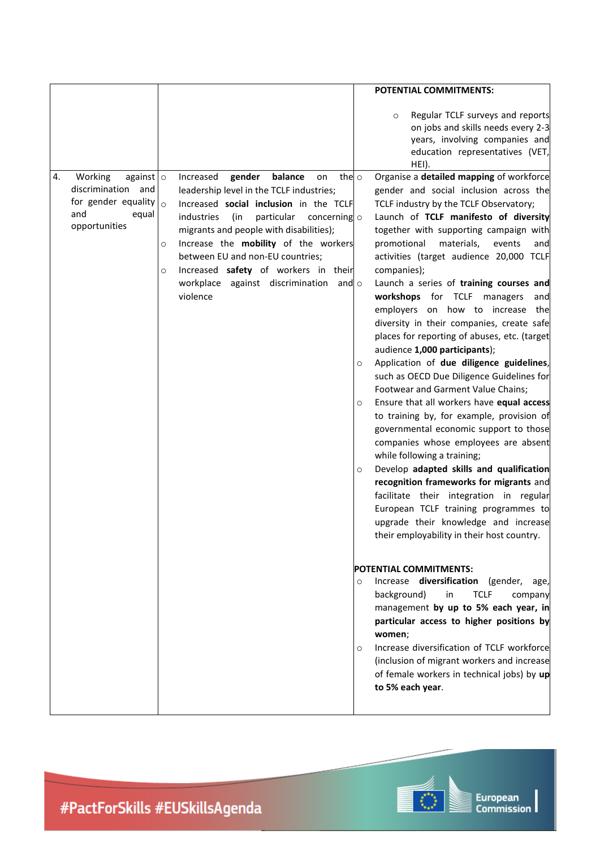|                                                                               |                                                                                                                                                                                                                                                                                                                                                                                       | POTENTIAL COMMITMENTS:                                                                                                                                                                                                                                                                                                                                                                                                                                                                                                                                                                                                                                                                                                                                                                                                                                                                                                                                                                                                                                                                                                                                                                                                                                                                                                                                                                                                                                                                                                                                                             |
|-------------------------------------------------------------------------------|---------------------------------------------------------------------------------------------------------------------------------------------------------------------------------------------------------------------------------------------------------------------------------------------------------------------------------------------------------------------------------------|------------------------------------------------------------------------------------------------------------------------------------------------------------------------------------------------------------------------------------------------------------------------------------------------------------------------------------------------------------------------------------------------------------------------------------------------------------------------------------------------------------------------------------------------------------------------------------------------------------------------------------------------------------------------------------------------------------------------------------------------------------------------------------------------------------------------------------------------------------------------------------------------------------------------------------------------------------------------------------------------------------------------------------------------------------------------------------------------------------------------------------------------------------------------------------------------------------------------------------------------------------------------------------------------------------------------------------------------------------------------------------------------------------------------------------------------------------------------------------------------------------------------------------------------------------------------------------|
| against $\circ$<br>4.<br>Working                                              | balance<br>Increased<br>gender<br>on                                                                                                                                                                                                                                                                                                                                                  | Regular TCLF surveys and reports<br>$\circ$<br>on jobs and skills needs every 2-3<br>years, involving companies and<br>education representatives (VET,<br>HEI).<br>Organise a detailed mapping of workforce<br>the $\circ$                                                                                                                                                                                                                                                                                                                                                                                                                                                                                                                                                                                                                                                                                                                                                                                                                                                                                                                                                                                                                                                                                                                                                                                                                                                                                                                                                         |
| discrimination<br>and<br>for gender equality<br>and<br>equal<br>opportunities | leadership level in the TCLF industries;<br>Increased social inclusion in the TCLF<br>$\circ$<br>industries<br>(in<br>particular<br>concerning o<br>migrants and people with disabilities);<br>Increase the mobility of the workers<br>O<br>between EU and non-EU countries;<br>Increased safety of workers in their<br>O<br>workplace against discrimination and $\circ$<br>violence | gender and social inclusion across the<br>TCLF industry by the TCLF Observatory;<br>Launch of TCLF manifesto of diversity<br>together with supporting campaign with<br>promotional<br>materials,<br>events<br>and<br>activities (target audience 20,000 TCLF<br>companies);<br>Launch a series of training courses and<br>workshops for TCLF managers<br>and<br>employers on how to increase the<br>diversity in their companies, create safe<br>places for reporting of abuses, etc. (target<br>audience 1,000 participants);<br>Application of due diligence guidelines,<br>$\circ$<br>such as OECD Due Diligence Guidelines for<br>Footwear and Garment Value Chains;<br>Ensure that all workers have equal access<br>$\circ$<br>to training by, for example, provision of<br>governmental economic support to those<br>companies whose employees are absent<br>while following a training;<br>Develop adapted skills and qualification<br>$\circ$<br>recognition frameworks for migrants and<br>facilitate their integration in regular<br>European TCLF training programmes to<br>upgrade their knowledge and increase<br>their employability in their host country.<br><b>POTENTIAL COMMITMENTS:</b><br>Increase diversification (gender,<br>age,<br>$\circ$<br><b>TCLF</b><br>background)<br>in<br>company<br>management by up to 5% each year, in<br>particular access to higher positions by<br>women;<br>Increase diversification of TCLF workforce<br>O<br>(inclusion of migrant workers and increase<br>of female workers in technical jobs) by up<br>to 5% each year. |
|                                                                               |                                                                                                                                                                                                                                                                                                                                                                                       |                                                                                                                                                                                                                                                                                                                                                                                                                                                                                                                                                                                                                                                                                                                                                                                                                                                                                                                                                                                                                                                                                                                                                                                                                                                                                                                                                                                                                                                                                                                                                                                    |